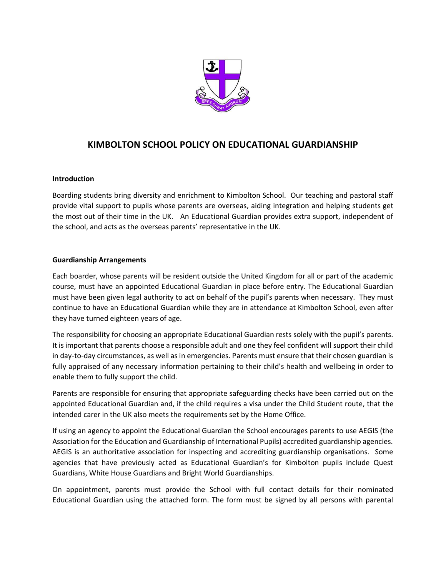

# **KIMBOLTON SCHOOL POLICY ON EDUCATIONAL GUARDIANSHIP**

### **Introduction**

Boarding students bring diversity and enrichment to Kimbolton School. Our teaching and pastoral staff provide vital support to pupils whose parents are overseas, aiding integration and helping students get the most out of their time in the UK. An Educational Guardian provides extra support, independent of the school, and acts as the overseas parents' representative in the UK.

### **Guardianship Arrangements**

Each boarder, whose parents will be resident outside the United Kingdom for all or part of the academic course, must have an appointed Educational Guardian in place before entry. The Educational Guardian must have been given legal authority to act on behalf of the pupil's parents when necessary. They must continue to have an Educational Guardian while they are in attendance at Kimbolton School, even after they have turned eighteen years of age.

The responsibility for choosing an appropriate Educational Guardian rests solely with the pupil's parents. It is important that parents choose a responsible adult and one they feel confident will support their child in day-to-day circumstances, as well as in emergencies. Parents must ensure that their chosen guardian is fully appraised of any necessary information pertaining to their child's health and wellbeing in order to enable them to fully support the child.

Parents are responsible for ensuring that appropriate safeguarding checks have been carried out on the appointed Educational Guardian and, if the child requires a visa under the Child Student route, that the intended carer in the UK also meets the requirements set by the Home Office.

If using an agency to appoint the Educational Guardian the School encourages parents to use AEGIS (the Association for the Education and Guardianship of International Pupils) accredited guardianship agencies. AEGIS is an authoritative association for inspecting and accrediting guardianship organisations. Some agencies that have previously acted as Educational Guardian's for Kimbolton pupils include Quest Guardians, White House Guardians and Bright World Guardianships.

On appointment, parents must provide the School with full contact details for their nominated Educational Guardian using the attached form. The form must be signed by all persons with parental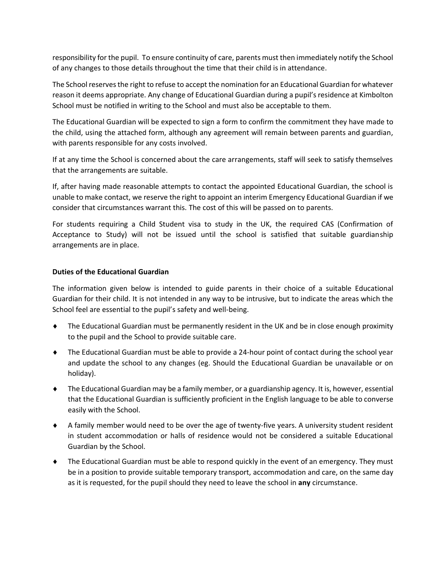responsibility for the pupil. To ensure continuity of care, parents must then immediately notify the School of any changes to those details throughout the time that their child is in attendance.

The School reserves the right to refuse to accept the nomination for an Educational Guardian for whatever reason it deems appropriate. Any change of Educational Guardian during a pupil's residence at Kimbolton School must be notified in writing to the School and must also be acceptable to them.

The Educational Guardian will be expected to sign a form to confirm the commitment they have made to the child, using the attached form, although any agreement will remain between parents and guardian, with parents responsible for any costs involved.

If at any time the School is concerned about the care arrangements, staff will seek to satisfy themselves that the arrangements are suitable.

If, after having made reasonable attempts to contact the appointed Educational Guardian, the school is unable to make contact, we reserve the right to appoint an interim Emergency Educational Guardian if we consider that circumstances warrant this. The cost of this will be passed on to parents.

For students requiring a Child Student visa to study in the UK, the required CAS (Confirmation of Acceptance to Study) will not be issued until the school is satisfied that suitable guardianship arrangements are in place.

### **Duties of the Educational Guardian**

The information given below is intended to guide parents in their choice of a suitable Educational Guardian for their child. It is not intended in any way to be intrusive, but to indicate the areas which the School feel are essential to the pupil's safety and well-being.

- The Educational Guardian must be permanently resident in the UK and be in close enough proximity to the pupil and the School to provide suitable care.
- The Educational Guardian must be able to provide a 24-hour point of contact during the school year and update the school to any changes (eg. Should the Educational Guardian be unavailable or on holiday).
- The Educational Guardian may be a family member, or a guardianship agency. It is, however, essential that the Educational Guardian is sufficiently proficient in the English language to be able to converse easily with the School.
- A family member would need to be over the age of twenty-five years. A university student resident in student accommodation or halls of residence would not be considered a suitable Educational Guardian by the School.
- The Educational Guardian must be able to respond quickly in the event of an emergency. They must be in a position to provide suitable temporary transport, accommodation and care, on the same day as it is requested, for the pupil should they need to leave the school in **any** circumstance.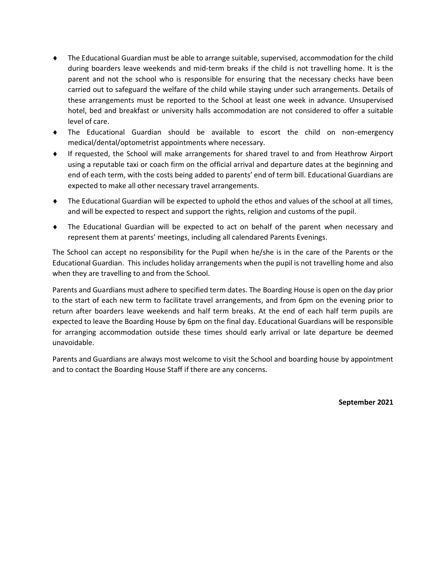- The Educational Guardian must be able to arrange suitable, supervised, accommodation for the child during boarders leave weekends and mid-term breaks if the child is not travelling home. It is the parent and not the school who is responsible for ensuring that the necessary checks have been carried out to safeguard the welfare of the child while staying under such arrangements. Details of these arrangements must be reported to the School at least one week in advance. Unsupervised hotel, bed and breakfast or university halls accommodation are not considered to offer a suitable level of care.
- The Educational Guardian should be available to escort the child on non-emergency medical/dental/optometrist appointments where necessary.
- If requested, the School will make arrangements for shared travel to and from Heathrow Airport using a reputable taxi or coach firm on the official arrival and departure dates at the beginning and end of each term, with the costs being added to parents' end of term bill. Educational Guardians are expected to make all other necessary travel arrangements.
- The Educational Guardian will be expected to uphold the ethos and values of the school at all times, and will be expected to respect and support the rights, religion and customs of the pupil.
- The Educational Guardian will be expected to act on behalf of the parent when necessary and represent them at parents' meetings, including all calendared Parents Evenings.

The School can accept no responsibility for the Pupil when he/she is in the care of the Parents or the Educational Guardian. This includes holiday arrangements when the pupil is not travelling home and also when they are travelling to and from the School.

Parents and Guardians must adhere to specified term dates. The Boarding House is open on the day prior to the start of each new term to facilitate travel arrangements, and from 6pm on the evening prior to return after boarders leave weekends and half term breaks. At the end of each half term pupils are expected to leave the Boarding House by 6pm on the final day. Educational Guardians will be responsible for arranging accommodation outside these times should early arrival or late departure be deemed unavoidable.

Parents and Guardians are always most welcome to visit the School and boarding house by appointment and to contact the Boarding House Staff if there are any concerns.

**September 2021**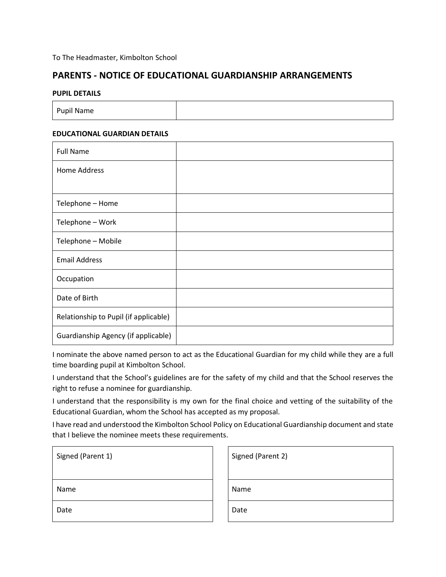### **PARENTS - NOTICE OF EDUCATIONAL GUARDIANSHIP ARRANGEMENTS**

#### **PUPIL DETAILS**

| Pupil Name |  |
|------------|--|
|------------|--|

### **EDUCATIONAL GUARDIAN DETAILS**

| <b>Full Name</b>                      |  |
|---------------------------------------|--|
| Home Address                          |  |
|                                       |  |
| Telephone - Home                      |  |
| Telephone - Work                      |  |
| Telephone - Mobile                    |  |
| <b>Email Address</b>                  |  |
| Occupation                            |  |
| Date of Birth                         |  |
| Relationship to Pupil (if applicable) |  |
| Guardianship Agency (if applicable)   |  |

I nominate the above named person to act as the Educational Guardian for my child while they are a full time boarding pupil at Kimbolton School.

I understand that the School's guidelines are for the safety of my child and that the School reserves the right to refuse a nominee for guardianship.

I understand that the responsibility is my own for the final choice and vetting of the suitability of the Educational Guardian, whom the School has accepted as my proposal.

I have read and understood the Kimbolton School Policy on Educational Guardianship document and state that I believe the nominee meets these requirements.

| Signed (Parent 1) | Signed (Parent 2) |
|-------------------|-------------------|
| Name              | Name              |
| Date              | Date              |

| Signed (Parent 2) |  |
|-------------------|--|
| Name              |  |
| Date              |  |